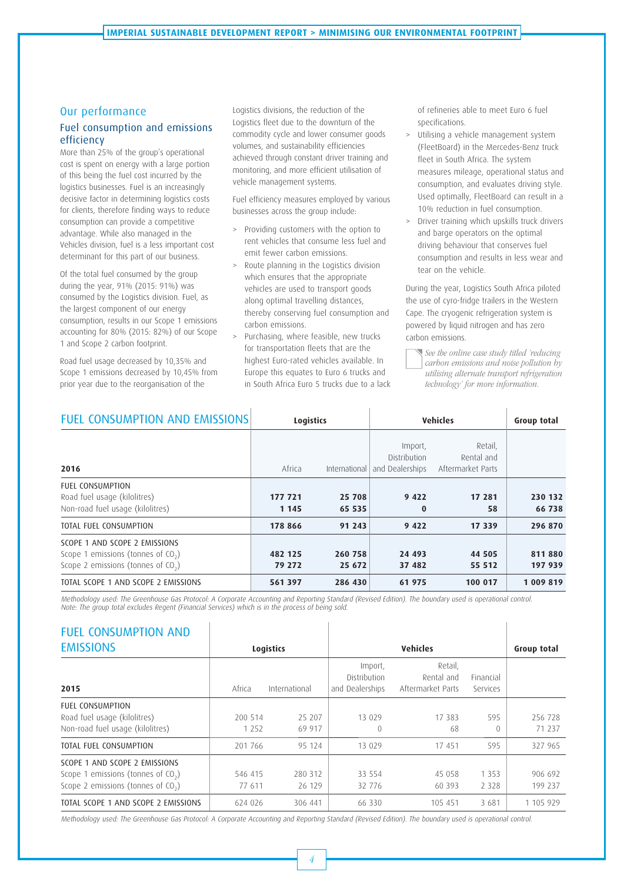#### Our performance

### Fuel consumption and emissions efficiency

More than 25% of the group's operational cost is spent on energy with a large portion of this being the fuel cost incurred by the logistics businesses. Fuel is an increasingly decisive factor in determining logistics costs for clients, therefore finding ways to reduce consumption can provide a competitive advantage. While also managed in the Vehicles division, fuel is a less important cost determinant for this part of our business.

Of the total fuel consumed by the group during the year, 91% (2015: 91%) was consumed by the Logistics division. Fuel, as the largest component of our energy consumption, results in our Scope 1 emissions accounting for 80% (2015: 82%) of our Scope 1 and Scope 2 carbon footprint.

Road fuel usage decreased by 10,35% and Scope 1 emissions decreased by 10,45% from prior year due to the reorganisation of the

Logistics divisions, the reduction of the Logistics fleet due to the downturn of the commodity cycle and lower consumer goods volumes, and sustainability efficiencies achieved through constant driver training and monitoring, and more efficient utilisation of vehicle management systems.

Fuel efficiency measures employed by various businesses across the group include:

- > Providing customers with the option to rent vehicles that consume less fuel and emit fewer carbon emissions.
- > Route planning in the Logistics division which ensures that the appropriate vehicles are used to transport goods along optimal travelling distances, thereby conserving fuel consumption and carbon emissions.
- Purchasing, where feasible, new trucks for transportation fleets that are the highest Euro-rated vehicles available. In Europe this equates to Euro 6 trucks and in South Africa Euro 5 trucks due to a lack

of refineries able to meet Euro 6 fuel specifications.

- > Utilising a vehicle management system (FleetBoard) in the Mercedes-Benz truck fleet in South Africa. The system measures mileage, operational status and consumption, and evaluates driving style. Used optimally, FleetBoard can result in a 10% reduction in fuel consumption.
- > Driver training which upskills truck drivers and barge operators on the optimal driving behaviour that conserves fuel consumption and results in less wear and tear on the vehicle.

During the year, Logistics South Africa piloted the use of cyro-fridge trailers in the Western Cape. The cryogenic refrigeration system is powered by liquid nitrogen and has zero carbon emissions.

See the online case study titled 'reducing carbon emissions and noise pollution by utilising alternate transport refrigeration technology' for more information.

| <b>FUEL CONSUMPTION AND EMISSIONS</b>                                                                         | <b>Logistics</b>   |                   | <b>Vehicles</b>                                   | Group total                                |                   |
|---------------------------------------------------------------------------------------------------------------|--------------------|-------------------|---------------------------------------------------|--------------------------------------------|-------------------|
| 2016                                                                                                          | Africa             | International     | Import,<br><b>Distribution</b><br>and Dealerships | Retail,<br>Rental and<br>Aftermarket Parts |                   |
| <b>FUEL CONSUMPTION</b><br>Road fuel usage (kilolitres)<br>Non-road fuel usage (kilolitres)                   | 177 721<br>1 1 4 5 | 25 708<br>65 535  | 9 4 2 2<br>$\bf{0}$                               | 17 281<br>58                               | 230 132<br>66 738 |
| TOTAL FUEL CONSUMPTION                                                                                        | 178 866            | 91 243            | 9 4 2 2                                           | 17 339                                     | 296 870           |
| SCOPE 1 AND SCOPE 2 EMISSIONS<br>Scope 1 emissions (tonnes of $CO2$ )<br>Scope 2 emissions (tonnes of $CO2$ ) | 482 125<br>79 272  | 260 758<br>25 672 | 24 493<br>37 482                                  | 44 505<br>55 512                           | 811880<br>197 939 |
| TOTAL SCOPE 1 AND SCOPE 2 EMISSIONS                                                                           | 561 397            | 286 430           | 61 975                                            | 100 017                                    | 1 009 819         |

Methodology used: The Greenhouse Gas Protocol: A Corporate Accounting and Reporting Standard (Revised Edition). The boundary used is operational control. Note: The group total excludes Regent (Financial Services) which is in the process of being sold.

| <b>FUEL CONSUMPTION AND</b><br><b>EMISSIONS</b>                                                               |                    | <b>Logistics</b>  |                                            | <b>Vehicles</b>                            |                       | Group total        |
|---------------------------------------------------------------------------------------------------------------|--------------------|-------------------|--------------------------------------------|--------------------------------------------|-----------------------|--------------------|
| 2015                                                                                                          | Africa             | International     | Import,<br>Distribution<br>and Dealerships | Retail,<br>Rental and<br>Aftermarket Parts | Financial<br>Services |                    |
| <b>FUEL CONSUMPTION</b><br>Road fuel usage (kilolitres)<br>Non-road fuel usage (kilolitres)                   | 200 514<br>1 2 5 2 | 25 207<br>69 917  | 13 0 29<br>$\left($                        | 17 383<br>68                               | 595<br>$\Omega$       | 256 728<br>71 237  |
| TOTAL FUEL CONSUMPTION                                                                                        | 201 766            | 95 124            | 13 0 29                                    | 17 451                                     | 595                   | 327 965            |
| SCOPE 1 AND SCOPE 2 EMISSIONS<br>Scope 1 emissions (tonnes of $CO2$ )<br>Scope 2 emissions (tonnes of $CO2$ ) | 546 415<br>77 611  | 280 312<br>26 129 | 33 554<br>32 776                           | 45 058<br>60 393                           | 1 3 5 3<br>2 3 2 8    | 906 692<br>199 237 |
| TOTAL SCOPE 1 AND SCOPE 2 EMISSIONS                                                                           | 624 026            | 306 441           | 66 330                                     | 105 451                                    | 3681                  | 1 105 929          |

Methodology used: The Greenhouse Gas Protocol: A Corporate Accounting and Reporting Standard (Revised Edition). The boundary used is operational control.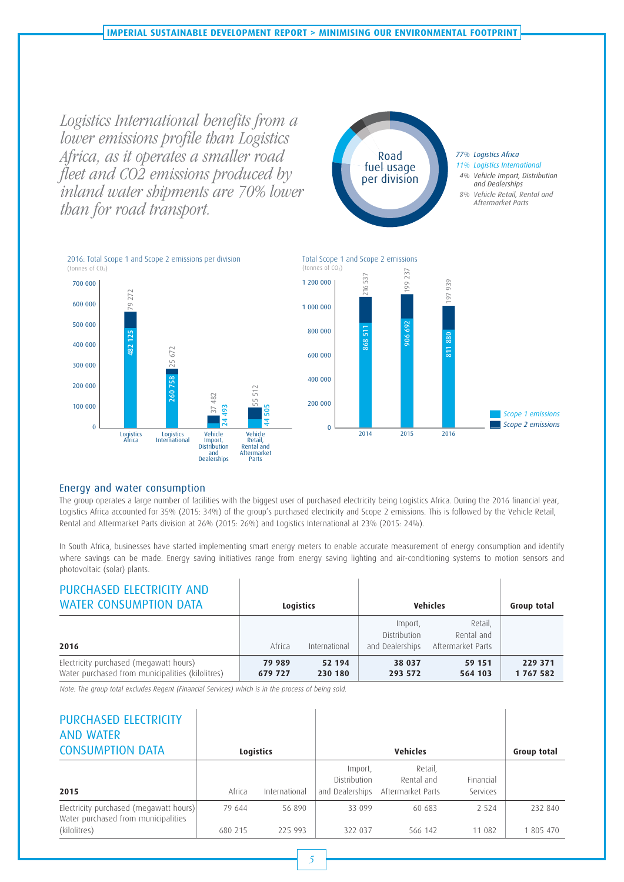Logistics International benefits from a lower emissions profile than Logistics Africa, as it operates a smaller road fleet and CO2 emissions produced by inland water shipments are 70% lower than for road transport.



#### 2016: Total Scope 1 and Scope 2 emissions per division (tonnes of CO<sub>2</sub>)





The group operates a large number of facilities with the biggest user of purchased electricity being Logistics Africa. During the 2016 financial year, Logistics Africa accounted for 35% (2015: 34%) of the group's purchased electricity and Scope 2 emissions. This is followed by the Vehicle Retail, Rental and Aftermarket Parts division at 26% (2015: 26%) and Logistics International at 23% (2015: 24%).

In South Africa, businesses have started implementing smart energy meters to enable accurate measurement of energy consumption and identify where savings can be made. Energy saving initiatives range from energy saving lighting and air-conditioning systems to motion sensors and photovoltaic (solar) plants.

| PURCHASED ELECTRICITY AND<br><b>WATER CONSUMPTION DATA</b>                                 | Logistics         |                   | <b>Vehicles</b>                            |                                            | Group total        |
|--------------------------------------------------------------------------------------------|-------------------|-------------------|--------------------------------------------|--------------------------------------------|--------------------|
| 2016                                                                                       | Africa            | International     | Import,<br>Distribution<br>and Dealerships | Retail,<br>Rental and<br>Aftermarket Parts |                    |
| Electricity purchased (megawatt hours)<br>Water purchased from municipalities (kilolitres) | 79 989<br>679 727 | 52 194<br>230 180 | 38 037<br>293 572                          | 59 151<br>564 103                          | 229 371<br>1767582 |

Note: The group total excludes Regent (Financial Services) which is in the process of being sold.

| PURCHASED ELECTRICITY<br><b>AND WATER</b><br><b>CONSUMPTION DATA</b>                          |                   | <b>Logistics</b>  |                                | <b>Vehicles</b>                                            |                       | Group total          |
|-----------------------------------------------------------------------------------------------|-------------------|-------------------|--------------------------------|------------------------------------------------------------|-----------------------|----------------------|
| 2015                                                                                          | Africa            | International     | Import,<br><b>Distribution</b> | Retail,<br>Rental and<br>and Dealerships Aftermarket Parts | Financial<br>Services |                      |
| Electricity purchased (megawatt hours)<br>Water purchased from municipalities<br>(kilolitres) | 79 644<br>680 215 | 56 890<br>225 993 | 33 099<br>322 037              | 60 683<br>566 142                                          | 2.524<br>11 082       | 232 840<br>1 805 470 |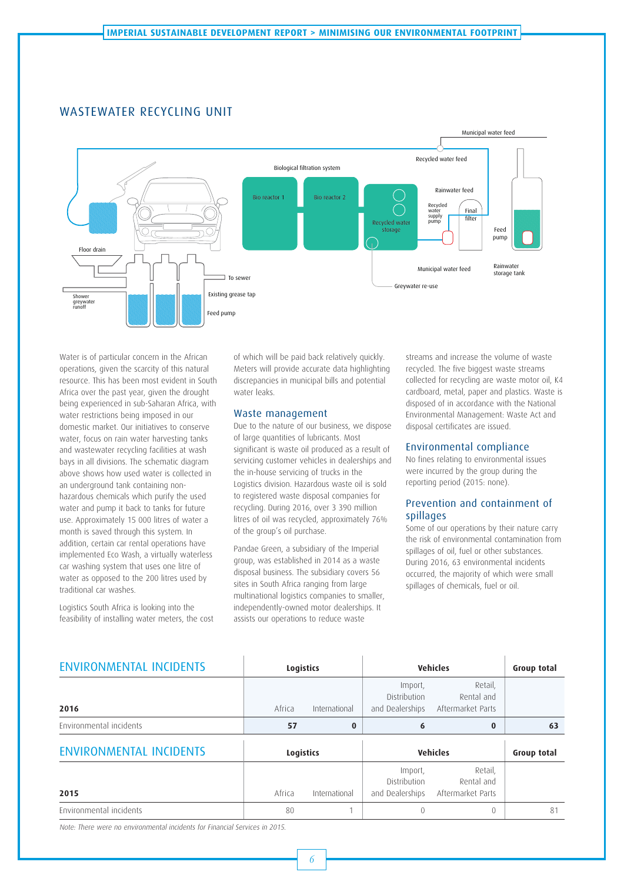## WASTEWATER RECYCLING UNIT



Water is of particular concern in the African operations, given the scarcity of this natural resource. This has been most evident in South Africa over the past year, given the drought being experienced in sub-Saharan Africa, with water restrictions being imposed in our domestic market. Our initiatives to conserve water, focus on rain water harvesting tanks and wastewater recycling facilities at wash bays in all divisions. The schematic diagram above shows how used water is collected in an underground tank containing nonhazardous chemicals which purify the used water and pump it back to tanks for future use. Approximately 15 000 litres of water a month is saved through this system. In addition, certain car rental operations have implemented Eco Wash, a virtually waterless car washing system that uses one litre of water as opposed to the 200 litres used by traditional car washes.

Logistics South Africa is looking into the feasibility of installing water meters, the cost of which will be paid back relatively quickly. Meters will provide accurate data highlighting discrepancies in municipal bills and potential water leaks.

#### Waste management

Due to the nature of our business, we dispose of large quantities of lubricants. Most significant is waste oil produced as a result of servicing customer vehicles in dealerships and the in-house servicing of trucks in the Logistics division. Hazardous waste oil is sold to registered waste disposal companies for recycling. During 2016, over 3 390 million litres of oil was recycled, approximately 76% of the group's oil purchase.

Pandae Green, a subsidiary of the Imperial group, was established in 2014 as a waste disposal business. The subsidiary covers 56 sites in South Africa ranging from large multinational logistics companies to smaller, independently-owned motor dealerships. It assists our operations to reduce waste

streams and increase the volume of waste recycled. The five biggest waste streams collected for recycling are waste motor oil, K4 cardboard, metal, paper and plastics. Waste is disposed of in accordance with the National Environmental Management: Waste Act and disposal certificates are issued.

#### Environmental compliance

No fines relating to environmental issues were incurred by the group during the reporting period (2015: none).

#### Prevention and containment of spillages

Some of our operations by their nature carry the risk of environmental contamination from spillages of oil, fuel or other substances. During 2016, 63 environmental incidents occurred, the majority of which were small spillages of chemicals, fuel or oil.

| <b>ENVIRONMENTAL INCIDENTS</b> | <b>Logistics</b> |               | <b>Vehicles</b>                                   | Group total                                |    |
|--------------------------------|------------------|---------------|---------------------------------------------------|--------------------------------------------|----|
| 2016                           | Africa           | International | Import,<br><b>Distribution</b><br>and Dealerships | Retail,<br>Rental and<br>Aftermarket Parts |    |
| Environmental incidents        | 57               | $\bf{0}$      | 6                                                 | $\bf{0}$                                   | 63 |
| <b>ENVIRONMENTAL INCIDENTS</b> | <b>Logistics</b> |               | <b>Vehicles</b>                                   | Group total                                |    |
| 2015                           | Africa           | International | Import,<br><b>Distribution</b><br>and Dealerships | Retail,<br>Rental and<br>Aftermarket Parts |    |
| Environmental incidents        | 80               |               |                                                   | $\left($                                   | 81 |

Note: There were no environmental incidents for Financial Services in 2015.